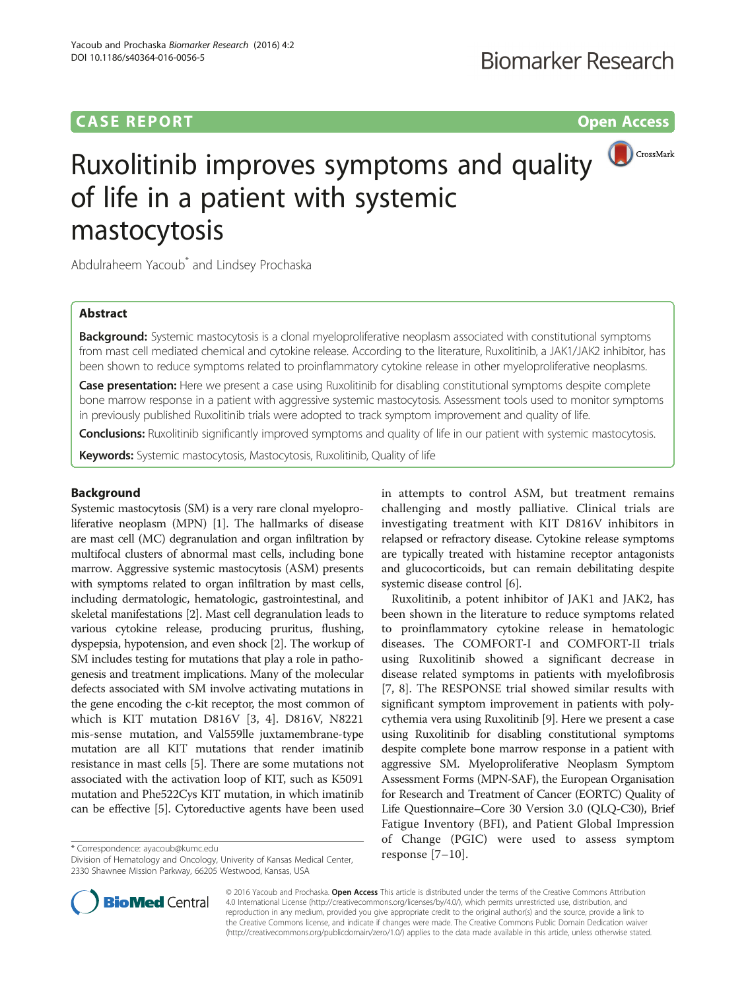# **CASE REPORT CASE REPORT CASE REPORT**



# Ruxolitinib improves symptoms and quality of life in a patient with systemic mastocytosis

Abdulraheem Yacoub<sup>\*</sup> and Lindsey Prochaska

# Abstract

Background: Systemic mastocytosis is a clonal myeloproliferative neoplasm associated with constitutional symptoms from mast cell mediated chemical and cytokine release. According to the literature, Ruxolitinib, a JAK1/JAK2 inhibitor, has been shown to reduce symptoms related to proinflammatory cytokine release in other myeloproliferative neoplasms.

Case presentation: Here we present a case using Ruxolitinib for disabling constitutional symptoms despite complete bone marrow response in a patient with aggressive systemic mastocytosis. Assessment tools used to monitor symptoms in previously published Ruxolitinib trials were adopted to track symptom improvement and quality of life.

**Conclusions:** Ruxolitinib significantly improved symptoms and quality of life in our patient with systemic mastocytosis.

Keywords: Systemic mastocytosis, Mastocytosis, Ruxolitinib, Quality of life

# Background

Systemic mastocytosis (SM) is a very rare clonal myeloproliferative neoplasm (MPN) [[1\]](#page-3-0). The hallmarks of disease are mast cell (MC) degranulation and organ infiltration by multifocal clusters of abnormal mast cells, including bone marrow. Aggressive systemic mastocytosis (ASM) presents with symptoms related to organ infiltration by mast cells, including dermatologic, hematologic, gastrointestinal, and skeletal manifestations [\[2](#page-3-0)]. Mast cell degranulation leads to various cytokine release, producing pruritus, flushing, dyspepsia, hypotension, and even shock [\[2\]](#page-3-0). The workup of SM includes testing for mutations that play a role in pathogenesis and treatment implications. Many of the molecular defects associated with SM involve activating mutations in the gene encoding the c-kit receptor, the most common of which is KIT mutation D816V [[3, 4](#page-3-0)]. D816V, N8221 mis-sense mutation, and Val559lle juxtamembrane-type mutation are all KIT mutations that render imatinib resistance in mast cells [\[5\]](#page-3-0). There are some mutations not associated with the activation loop of KIT, such as K5091 mutation and Phe522Cys KIT mutation, in which imatinib can be effective [\[5](#page-3-0)]. Cytoreductive agents have been used

in attempts to control ASM, but treatment remains challenging and mostly palliative. Clinical trials are investigating treatment with KIT D816V inhibitors in relapsed or refractory disease. Cytokine release symptoms are typically treated with histamine receptor antagonists and glucocorticoids, but can remain debilitating despite systemic disease control [[6](#page-3-0)].

Ruxolitinib, a potent inhibitor of JAK1 and JAK2, has been shown in the literature to reduce symptoms related to proinflammatory cytokine release in hematologic diseases. The COMFORT-I and COMFORT-II trials using Ruxolitinib showed a significant decrease in disease related symptoms in patients with myelofibrosis [[7, 8\]](#page-3-0). The RESPONSE trial showed similar results with significant symptom improvement in patients with polycythemia vera using Ruxolitinib [\[9\]](#page-3-0). Here we present a case using Ruxolitinib for disabling constitutional symptoms despite complete bone marrow response in a patient with aggressive SM. Myeloproliferative Neoplasm Symptom Assessment Forms (MPN-SAF), the European Organisation for Research and Treatment of Cancer (EORTC) Quality of Life Questionnaire–Core 30 Version 3.0 (QLQ-C30), Brief Fatigue Inventory (BFI), and Patient Global Impression of Change (PGIC) were used to assess symptom



© 2016 Yacoub and Prochaska. Open Access This article is distributed under the terms of the Creative Commons Attribution 4.0 International License ([http://creativecommons.org/licenses/by/4.0/\)](http://creativecommons.org/licenses/by/4.0/), which permits unrestricted use, distribution, and reproduction in any medium, provided you give appropriate credit to the original author(s) and the source, provide a link to the Creative Commons license, and indicate if changes were made. The Creative Commons Public Domain Dedication waiver [\(http://creativecommons.org/publicdomain/zero/1.0/](http://creativecommons.org/publicdomain/zero/1.0/)) applies to the data made available in this article, unless otherwise stated.

<sup>\*</sup> Correspondence: [ayacoub@kumc.edu](mailto:ayacoub@kumc.edu)<br>Division of Hematology and Oncology, Univerity of Kansas Medical Center, **Paramic Province (7–[10](#page-3-0))**. 2330 Shawnee Mission Parkway, 66205 Westwood, Kansas, USA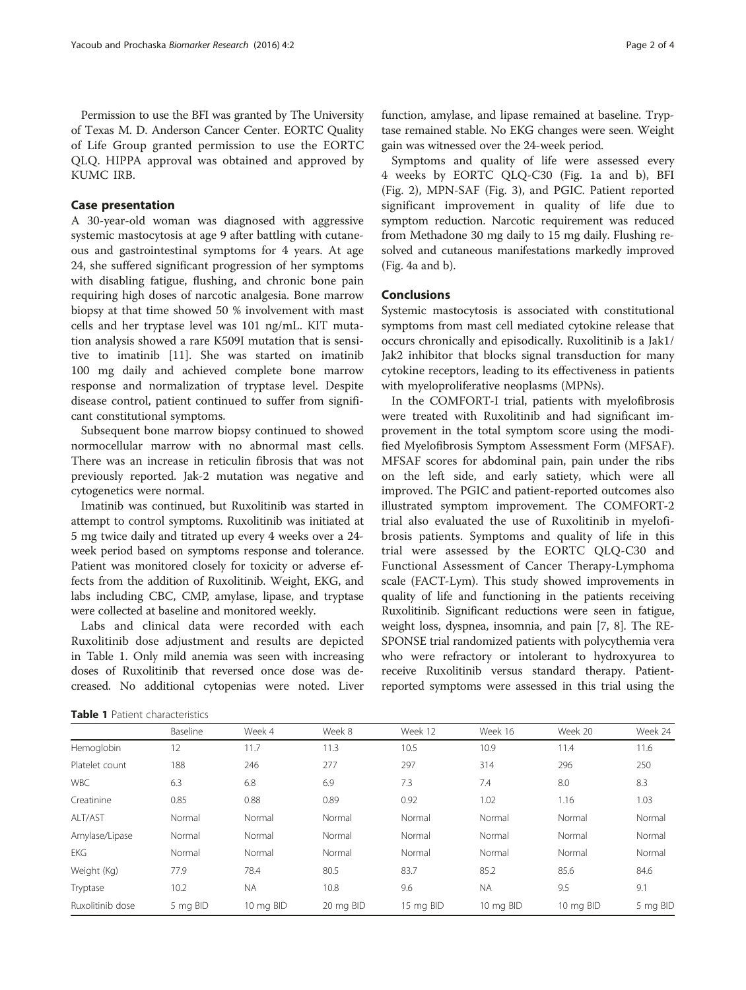Permission to use the BFI was granted by The University of Texas M. D. Anderson Cancer Center. EORTC Quality of Life Group granted permission to use the EORTC QLQ. HIPPA approval was obtained and approved by KUMC IRB.

# Case presentation

A 30-year-old woman was diagnosed with aggressive systemic mastocytosis at age 9 after battling with cutaneous and gastrointestinal symptoms for 4 years. At age 24, she suffered significant progression of her symptoms with disabling fatigue, flushing, and chronic bone pain requiring high doses of narcotic analgesia. Bone marrow biopsy at that time showed 50 % involvement with mast cells and her tryptase level was 101 ng/mL. KIT mutation analysis showed a rare K509I mutation that is sensitive to imatinib [[11\]](#page-3-0). She was started on imatinib 100 mg daily and achieved complete bone marrow response and normalization of tryptase level. Despite disease control, patient continued to suffer from significant constitutional symptoms.

Subsequent bone marrow biopsy continued to showed normocellular marrow with no abnormal mast cells. There was an increase in reticulin fibrosis that was not previously reported. Jak-2 mutation was negative and cytogenetics were normal.

Imatinib was continued, but Ruxolitinib was started in attempt to control symptoms. Ruxolitinib was initiated at 5 mg twice daily and titrated up every 4 weeks over a 24 week period based on symptoms response and tolerance. Patient was monitored closely for toxicity or adverse effects from the addition of Ruxolitinib. Weight, EKG, and labs including CBC, CMP, amylase, lipase, and tryptase were collected at baseline and monitored weekly.

Labs and clinical data were recorded with each Ruxolitinib dose adjustment and results are depicted in Table 1. Only mild anemia was seen with increasing doses of Ruxolitinib that reversed once dose was decreased. No additional cytopenias were noted. Liver function, amylase, and lipase remained at baseline. Tryptase remained stable. No EKG changes were seen. Weight gain was witnessed over the 24-week period.

Symptoms and quality of life were assessed every 4 weeks by EORTC QLQ-C30 (Fig. [1a and b\)](#page-2-0), BFI (Fig. [2](#page-2-0)), MPN-SAF (Fig. [3\)](#page-2-0), and PGIC. Patient reported significant improvement in quality of life due to symptom reduction. Narcotic requirement was reduced from Methadone 30 mg daily to 15 mg daily. Flushing resolved and cutaneous manifestations markedly improved (Fig. [4a and b\)](#page-3-0).

# Conclusions

Systemic mastocytosis is associated with constitutional symptoms from mast cell mediated cytokine release that occurs chronically and episodically. Ruxolitinib is a Jak1/ Jak2 inhibitor that blocks signal transduction for many cytokine receptors, leading to its effectiveness in patients with myeloproliferative neoplasms (MPNs).

In the COMFORT-I trial, patients with myelofibrosis were treated with Ruxolitinib and had significant improvement in the total symptom score using the modified Myelofibrosis Symptom Assessment Form (MFSAF). MFSAF scores for abdominal pain, pain under the ribs on the left side, and early satiety, which were all improved. The PGIC and patient-reported outcomes also illustrated symptom improvement. The COMFORT-2 trial also evaluated the use of Ruxolitinib in myelofibrosis patients. Symptoms and quality of life in this trial were assessed by the EORTC QLQ-C30 and Functional Assessment of Cancer Therapy-Lymphoma scale (FACT-Lym). This study showed improvements in quality of life and functioning in the patients receiving Ruxolitinib. Significant reductions were seen in fatigue, weight loss, dyspnea, insomnia, and pain [[7](#page-3-0), [8](#page-3-0)]. The RE-SPONSE trial randomized patients with polycythemia vera who were refractory or intolerant to hydroxyurea to receive Ruxolitinib versus standard therapy. Patientreported symptoms were assessed in this trial using the

| <b>Table 1</b> Patient characteristics |  |
|----------------------------------------|--|
|----------------------------------------|--|

|                  | Baseline | Week 4    | Week 8    | Week 12   | Week 16   | Week 20   | Week 24  |
|------------------|----------|-----------|-----------|-----------|-----------|-----------|----------|
| Hemoglobin       | 12       | 11.7      | 11.3      | 10.5      | 10.9      | 11.4      | 11.6     |
| Platelet count   | 188      | 246       | 277       | 297       | 314       | 296       | 250      |
| <b>WBC</b>       | 6.3      | 6.8       | 6.9       | 7.3       | 7.4       | 8.0       | 8.3      |
| Creatinine       | 0.85     | 0.88      | 0.89      | 0.92      | 1.02      | 1.16      | 1.03     |
| ALT/AST          | Normal   | Normal    | Normal    | Normal    | Normal    | Normal    | Normal   |
| Amylase/Lipase   | Normal   | Normal    | Normal    | Normal    | Normal    | Normal    | Normal   |
| <b>EKG</b>       | Normal   | Normal    | Normal    | Normal    | Normal    | Normal    | Normal   |
| Weight (Kg)      | 77.9     | 78.4      | 80.5      | 83.7      | 85.2      | 85.6      | 84.6     |
| Tryptase         | 10.2     | <b>NA</b> | 10.8      | 9.6       | <b>NA</b> | 9.5       | 9.1      |
| Ruxolitinib dose | 5 mg BID | 10 mg BID | 20 mg BID | 15 mg BID | 10 mg BID | 10 mg BID | 5 mg BID |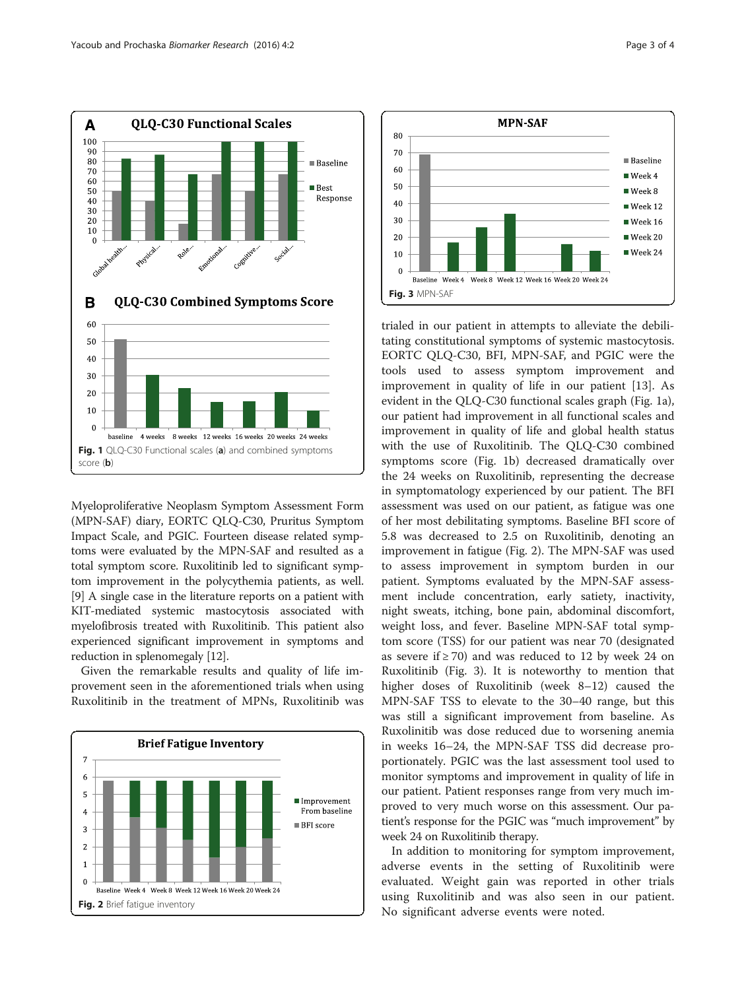<span id="page-2-0"></span>

Myeloproliferative Neoplasm Symptom Assessment Form (MPN-SAF) diary, EORTC QLQ-C30, Pruritus Symptom Impact Scale, and PGIC. Fourteen disease related symptoms were evaluated by the MPN-SAF and resulted as a total symptom score. Ruxolitinib led to significant symptom improvement in the polycythemia patients, as well. [[9\]](#page-3-0) A single case in the literature reports on a patient with KIT-mediated systemic mastocytosis associated with myelofibrosis treated with Ruxolitinib. This patient also experienced significant improvement in symptoms and reduction in splenomegaly [\[12\]](#page-3-0).

Given the remarkable results and quality of life improvement seen in the aforementioned trials when using Ruxolitinib in the treatment of MPNs, Ruxolitinib was





trialed in our patient in attempts to alleviate the debilitating constitutional symptoms of systemic mastocytosis. EORTC QLQ-C30, BFI, MPN-SAF, and PGIC were the tools used to assess symptom improvement and improvement in quality of life in our patient [[13\]](#page-3-0). As evident in the QLQ-C30 functional scales graph (Fig. 1a), our patient had improvement in all functional scales and improvement in quality of life and global health status with the use of Ruxolitinib. The QLQ-C30 combined symptoms score (Fig. 1b) decreased dramatically over the 24 weeks on Ruxolitinib, representing the decrease in symptomatology experienced by our patient. The BFI assessment was used on our patient, as fatigue was one of her most debilitating symptoms. Baseline BFI score of 5.8 was decreased to 2.5 on Ruxolitinib, denoting an improvement in fatigue (Fig. 2). The MPN-SAF was used to assess improvement in symptom burden in our patient. Symptoms evaluated by the MPN-SAF assessment include concentration, early satiety, inactivity, night sweats, itching, bone pain, abdominal discomfort, weight loss, and fever. Baseline MPN-SAF total symptom score (TSS) for our patient was near 70 (designated as severe if  $\geq$  70) and was reduced to 12 by week 24 on Ruxolitinib (Fig. 3). It is noteworthy to mention that higher doses of Ruxolitinib (week 8–12) caused the MPN-SAF TSS to elevate to the 30–40 range, but this was still a significant improvement from baseline. As Ruxolinitib was dose reduced due to worsening anemia in weeks 16–24, the MPN-SAF TSS did decrease proportionately. PGIC was the last assessment tool used to monitor symptoms and improvement in quality of life in our patient. Patient responses range from very much improved to very much worse on this assessment. Our patient's response for the PGIC was "much improvement" by week 24 on Ruxolitinib therapy.

In addition to monitoring for symptom improvement, adverse events in the setting of Ruxolitinib were evaluated. Weight gain was reported in other trials using Ruxolitinib and was also seen in our patient.